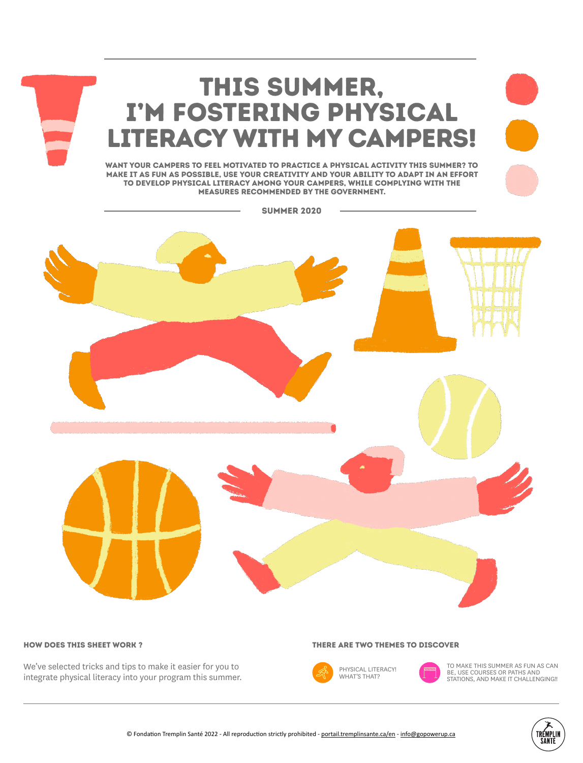

#### How does this sheet work ?

We've selected tricks and tips to make it easier for you to integrate physical literacy into your program this summer.

#### There are two themes to discover



TO MAKE THIS SUMMER AS FUN AS CAN BE, USE COURSES OR PATHS AND STATIONS, AND MAKE IT CHALLENGING!!

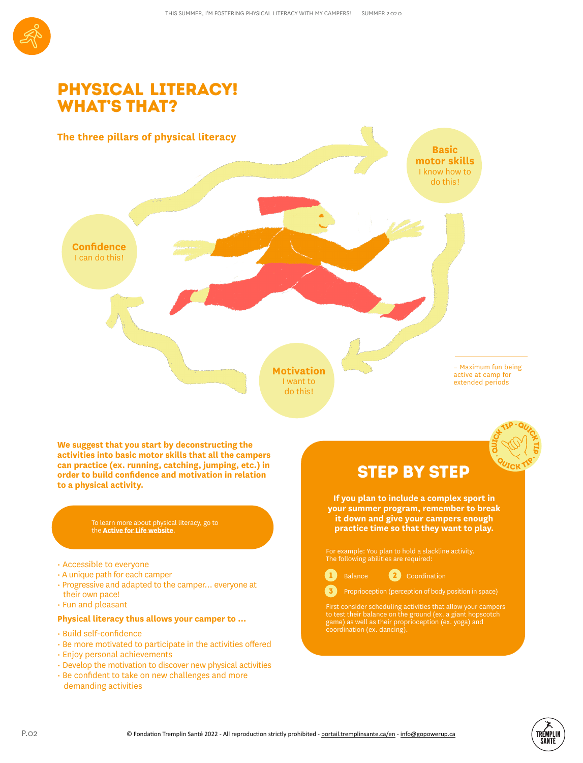

## Physical literacy! **WHAT'S THAT?**



To learn more about physical literacy, go to the **Active for Life website**.

• Accessible to everyone

**to a physical activity.**

- A unique path for each camper
- Progressive and adapted to the camper... everyone at their own pace!
- Fun and pleasant
- **Physical literacy thus allows your camper to …**
- Build self-confidence
- Be more motivated to participate in the activities offered
- Enjoy personal achievements
- Develop the motivation to discover new physical activities
- Be confident to take on new challenges and more
- demanding activities

**If you plan to include a complex sport in your summer program, remember to break it down and give your campers enough practice time so that they want to play.**

The following abilities are required:



3

Proprioception (perception of body position in space)

First consider scheduling activities that allow your campers to test their balance on the ground (ex. a giant hopscotch game) as well as their proprioception (ex. yoga) and coordination (ex. dancing).